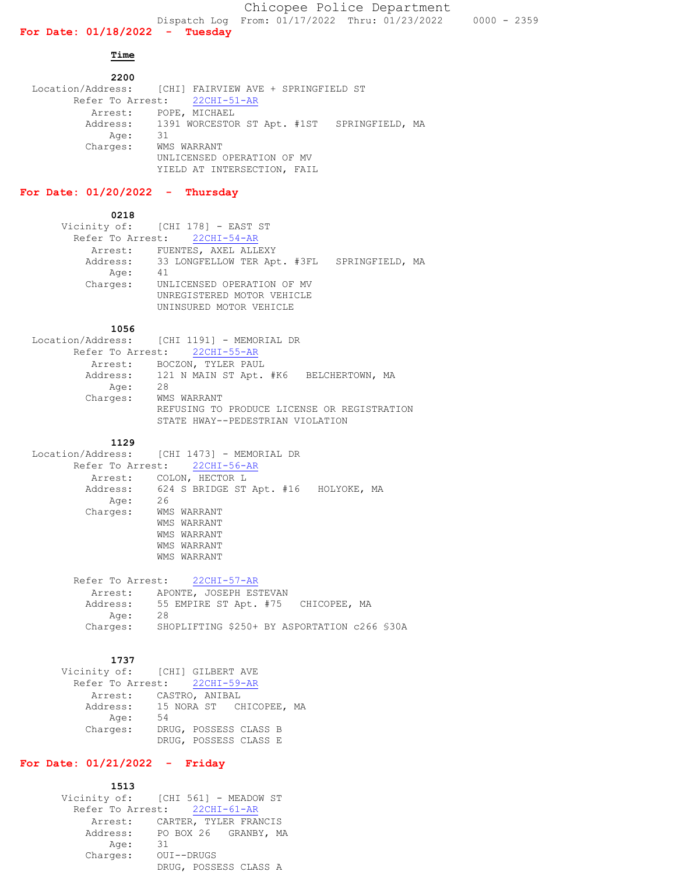**Time** 

 **2200** Location/Address: [CHI] FAIRVIEW AVE + SPRINGFIELD ST Refer To Arrest: 22CHI-51-AR Arrest: POPE, MICHAEL Address: 1391 WORCESTOR ST Apt. #1ST SPRINGFIELD, MA Age: 31 Age: Charges: WMS WARRANT UNLICENSED OPERATION OF MV YIELD AT INTERSECTION, FAIL

# **For Date: 01/20/2022 - Thursday**

 **0218**

|          | Vicinity of: [CHI 178] - EAST ST                     |  |
|----------|------------------------------------------------------|--|
|          | Refer To Arrest: 22CHI-54-AR                         |  |
|          | Arrest: FUENTES, AXEL ALLEXY                         |  |
|          | Address: 33 LONGFELLOW TER Apt. #3FL SPRINGFIELD, MA |  |
| Age:     | 41                                                   |  |
| Charges: | UNLICENSED OPERATION OF MV                           |  |
|          | UNREGISTERED MOTOR VEHICLE                           |  |
|          | UNINSURED MOTOR VEHICLE                              |  |

### **1056**

|          | Location/Address: [CHI 1191] - MEMORIAL DR      |
|----------|-------------------------------------------------|
|          | Refer To Arrest: 22CHI-55-AR                    |
|          | Arrest: BOCZON, TYLER PAUL                      |
|          | Address: 121 N MAIN ST Apt. #K6 BELCHERTOWN, MA |
| Age:     | 28                                              |
| Charges: | WMS WARRANT                                     |
|          | REFUSING TO PRODUCE LICENSE OR REGISTRATION     |
|          | STATE HWAY--PEDESTRIAN VIOLATION                |
|          |                                                 |

#### **1129**

```
 Location/Address: [CHI 1473] - MEMORIAL DR
Refer To Arrest: 22CHI-56-AR
Arrest: COLON, HECTOR L 
Address: 624 S BRIDGE ST Apt. #16 HOLYOKE, MA
           Age: 26
        Charges: WMS WARRANT
                  WMS WARRANT
                 WMS WARRANT
                  WMS WARRANT
                 WMS WARRANT
```
 Refer To Arrest: 22CHI-57-AR Arrest: APONTE, JOSEPH ESTEVAN Address: 55 EMPIRE ST Apt. #75 CHICOPEE, MA Age: 28 Charges: SHOPLIFTING \$250+ BY ASPORTATION c266 §30A

#### **1737**

|          | Vicinity of: [CHI] GILBERT AVE   |
|----------|----------------------------------|
|          | Refer To Arrest: 22CHI-59-AR     |
|          | Arrest: CASTRO, ANIBAL           |
|          | Address: 15 NORA ST CHICOPEE, MA |
| Age:     | 54                               |
| Charges: | DRUG, POSSESS CLASS B            |
|          | DRUG, POSSESS CLASS E            |

### **For Date: 01/21/2022 - Friday**

| 1513     |                                    |
|----------|------------------------------------|
|          | Vicinity of: [CHI 561] - MEADOW ST |
|          | Refer To Arrest: 22CHI-61-AR       |
| Arrest:  | CARTER, TYLER FRANCIS              |
| Address: | PO BOX 26 GRANBY, MA               |
| Age:     | 31                                 |
| Charges: | OUI--DRUGS                         |
|          | DRUG, POSSESS CLASS A              |